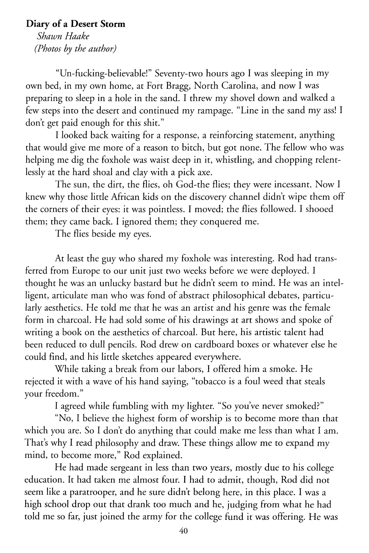## **Diary of a Desert Storm**

*Shawn Haake (Photos by the author)* 

"Un-fucking-believable!" Seventy-two hours ago I was sleeping in my own bed, in my own home, at Fort Bragg, North Carolina, and now I was preparing to sleep in a hole in the sand. I threw my shovel down and walked a few steps into the desert and continued my rampage. "Line in the sand my ass! I don't get paid enough for this shit."

I looked back waiting for a response, a reinforcing statement, anything that would give me more of a reason to bitch, but got none. The fellow who was helping me dig the foxhole was waist deep in it, whistling, and chopping relentlessly at the hard shoal and clay with a pick axe.

The sun, the dirt, the flies, oh God-the flies; they were incessant. Now I knew why those little African kids on the discovery channel didn't wipe them off the corners of their eyes: it was pointless. I moved; the flies followed. I shooed them; they came back. I ignored them; they conquered me.

The flies beside my eyes.

At least the guy who shared my foxhole was interesting. Rod had transferred from Europe to our unit just two weeks before we were deployed. I thought he was an unlucky bastard but he didn't seem to mind. He was an intelligent, articulate man who was fond of abstract philosophical debates, particularly aesthetics. He told me that he was an artist and his genre was the female form in charcoal. He had sold some of his drawings at art shows and spoke of writing a book on the aesthetics of charcoal. But here, his artistic talent had been reduced to dull pencils. Rod drew on cardboard boxes or whatever else he could find, and his little sketches appeared everywhere.

While taking a break from our labors, I offered him a smoke. He rejected it with a wave of his hand saying, "tobacco is a foul weed that steals your freedom."

I agreed while fumbling with my lighter. "So you've never smoked?"

"No, I believe the highest form of worship is to become more than that which you are. So I don't do anything that could make me less than what I am. That's why I read philosophy and draw. These things allow me to expand my mind, to become more," Rod explained.

He had made sergeant in less than two years, mostly due to his college education. It had taken me almost four. I had to admit, though, Rod did not seem like a paratrooper, and he sure didn't belong here, in this place. I was a high school drop out that drank too much and he, judging from what he had told me so far, just joined the army for the college fund it was offering. He was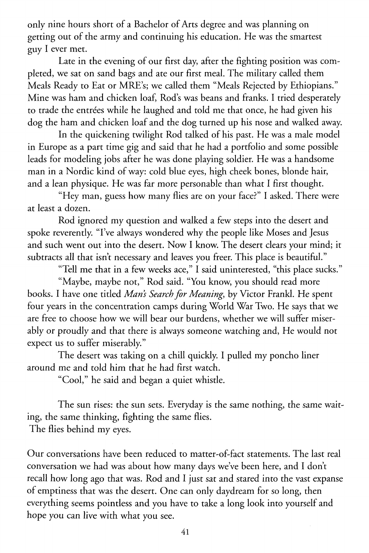only nine hours short of a Bachelor of Arts degree and was planning on getting out of the army and continuing his education. He was the smartest guy I ever met.

Late in the evening of our first day, after the fighting position was completed, we sat on sand bags and ate our first meal. The military called them Meals Ready to Eat or MRE's; we called them "Meals Rejected by Ethiopians." Mine was ham and chicken loaf, Rod's was beans and franks. I tried desperately to trade the entrées while he laughed and told me that once, he had given his dog the ham and chicken loaf and the dog turned up his nose and walked away.

In the quickening twilight Rod talked of his past. He was a male model in Europe as a part time gig and said that he had a portfolio and some possible leads for modeling jobs after he was done playing soldier. He was a handsome man in a Nordic kind of way: cold blue eyes, high cheek bones, blonde hair, and a lean physique. He was far more personable than what I first thought.

"Hey man, guess how many flies are on your face?" I asked. There were at least a dozen.

Rod ignored my question and walked a few steps into the desert and spoke reverently. "I've always wondered why the people like Moses and Jesus and such went out into the desert. Now I know. The desert clears your mind; it subtracts all that isn't necessary and leaves you freer. This place is beautiful."

"Tell me that in a few weeks ace," I said uninterested, "this place sucks."

"Maybe, maybe not," Rod said. "You know, you should read more books. I have one titled *Mans Search for Meaning,* by Victor Frankl. He spent four years in the concentration camps during World War Two. He says that we are free to choose how we will bear our burdens, whether we will suffer miserably or proudly and that there is always someone watching and, He would not expect us to suffer miserably."

The desert was taking on a chill quickly. I pulled my poncho liner around me and told him that he had first watch.

"Cool," he said and began a quiet whistle.

The sun rises: the sun sets. Everyday is the same nothing, the same waiting, the same thinking, fighting the same flies.

The flies behind my *eyes.* 

Our conversations have been reduced to matter-of-fact statements. The last real conversation we had was about how many days we've been here, and I don't recall how long ago that was. Rod and I just sat and stared into the vast expanse of emptiness that was the desert. One can only daydream for so long, then everything seems pointless and you have to take a long look into yourself and hope you can live with what you see.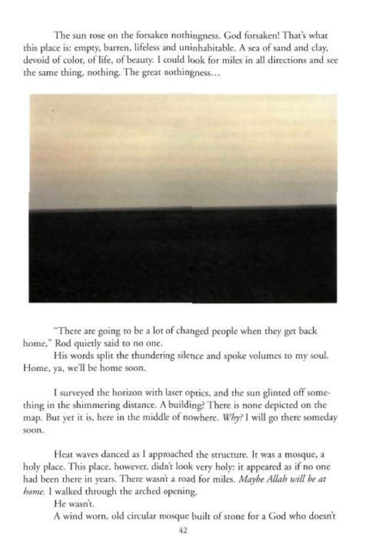The sun rose on the forsaken nothingness. God forsaken! That's what this place is: empty, barren. lifeless and uninhabirable. A sea of sand and clay. devoid of color, of life, of beauty. I could look for miles in all directions and sec the same thing, nothing. The great nothingness...



"There arc going to be a lot of changed people when they get back home." Rod quietly said to no one.

His words split the thundering silence and spoke volumes to my soul. Home. ya. we'll be home soon.

I surveyed the horizon with laser optics, and the sun glinted off something in the shimmering distance. A building? There is none depicted on the map. But yet it is, here in the middle of nowhere. Why? I will go there someday soon.

Heat waves danced as I approached the structure. It was a mosque, a holy place. This place, however, didn't look very holy: it appeared as if no one had been there in years. There wasn't a road for miles. Maybe Allah will be at home. I walked through the arched opening.

He wasn't.

A wind worn, old circular mosque built of stone for a God who doesn't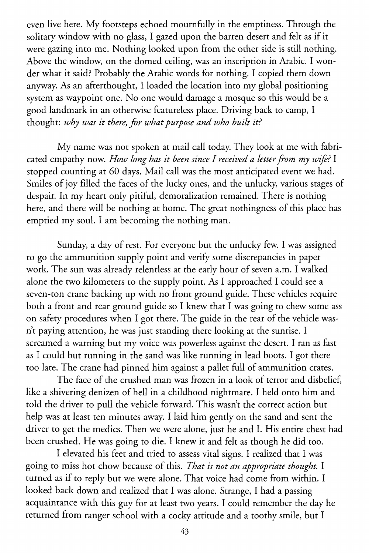even live here. My footsteps echoed mournfully in the emptiness. Through the solitary window with no glass, I gazed upon the barren desert and felt as if it were gazing into me. Nothing looked upon from the other side is still nothing. Above the window, on the domed ceiling, was an inscription in Arabic. I wonder what it said? Probably the Arabic words for nothing. I copied them down anyway. As an afterthought, I loaded the location into my global positioning system as waypoint one. No one would damage a mosque so this would be a good landmark in an otherwise featureless place. Driving back to camp, I thought: *why was it there, for what purpose and who built it?* 

My name was not spoken at mail call today. They look at me with fabricated empathy now. *How long has it been since I received a letter from my wife?* I stopped counting at 60 days. Mail call was the most anticipated event we had. Smiles of joy filled the faces of the lucky ones, and the unlucky, various stages of despair. In my heart only pitiful, demoralization remained. There is nothing here, and there will be nothing at home. The great nothingness of this place has emptied my soul. I am becoming the nothing man.

Sunday, a day of rest. For everyone but the unlucky few. I was assigned to go the ammunition supply point and verify some discrepancies in paper work. The sun was already relentless at the early hour of seven a.m. I walked alone the two kilometers to the supply point. As I approached I could see a seven-ton crane backing up with no front ground guide. These vehicles require both a front and rear ground guide so I knew that I was going to chew some ass on safety procedures when I got there. The guide in the rear of the vehicle wasn't paying attention, he was just standing there looking at the sunrise. I screamed a warning but my voice was powerless against the desert. I ran as fast as I could but running in the sand was like running in lead boots. I got there too late. The crane had pinned him against a pallet full of ammunition crates.

The face of the crushed man was frozen in a look of terror and disbelief, like a shivering denizen of hell in a childhood nightmare. I held onto him and told the driver to pull the vehicle forward. This wasn't the correct action but help was at least ten minutes away. I laid him gently on the sand and sent the driver to get the medics. Then we were alone, just he and I. His entire chest had been crushed. He was going to die. I knew it and felt as though he did too.

I elevated his feet and tried to assess vital signs. I realized that I was going to miss hot chow because of this. *That is not an appropriate thought.* I turned as if to reply but we were alone. That voice had come from within. I looked back down and realized that I was alone. Strange, I had a passing acquaintance with this guy for at least two years. I could remember the day he returned from ranger school with a cocky attitude and a toothy smile, but I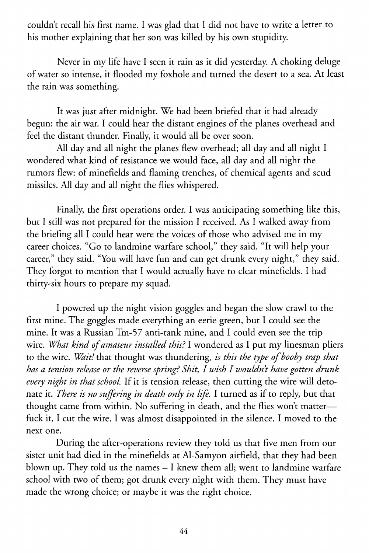couldn't recall his first name. I was glad that I did not have to write a letter to his mother explaining that her son was killed by his own stupidity.

Never in my life have I seen it rain as it did yesterday. A choking deluge of water so intense, it flooded my foxhole and turned the desert to a sea. At least the rain was something.

It was just after midnight. We had been briefed that it had already begun: the air war. I could hear the distant engines of the planes overhead and feel the distant thunder. Finally, it would all be over soon.

All day and all night the planes flew overhead; all day and all night I wondered what kind of resistance we would face, all day and all night the rumors flew: of minefields and flaming trenches, of chemical agents and scud missiles. All day and all night the flies whispered.

Finally, the first operations order. I was anticipating something like this, but I still was not prepared for the mission I received. As I walked away from the briefing all I could hear were the voices of those who advised me in my career choices. "Go to landmine warfare school," they said. "It will help your career," they said. "You will have fun and can get drunk every night," they said. They forgot to mention that I would actually have to clear minefields. I had thirty-six hours to prepare my squad.

I powered up the night vision goggles and began the slow crawl to the first mine. The goggles made everything an eerie green, but I could see the mine. It was a Russian Tm-57 anti-tank mine, and I could even see the trip wire. *What kind of amateur installed this?* I wondered as I put my linesman pliers to the wire. *Wait!* that thought was thundering, *is this the type of booby trap that has a tension release or the reverse spring? Shit, I wish I wouldn't have gotten drunk every night in that school.* If it is tension release, then cutting the wire will detonate it. *There is no suffering in death only in life.* I turned as if to reply, but that thought came from within. No suffering in death, and the flies won't matterfuck it, I cut the wire. I was almost disappointed in the silence. I moved to the next one.

During the after-operations review they told us that five men from our sister unit had died in the minefields at Al-Samyon airfield, that they had been blown up. They told us the names - I knew them all; went to landmine warfare school with two of them; got drunk every night with them. They must have made the wrong choice; or maybe it was the right choice.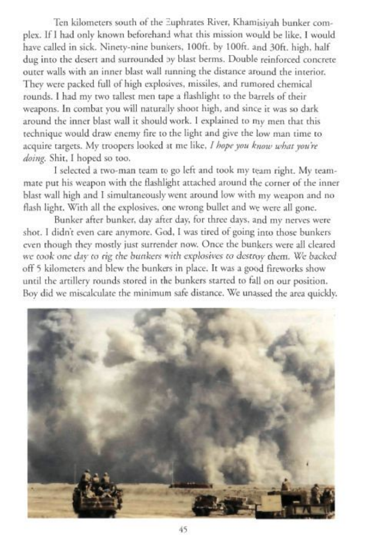Ten kilometers south of the Euphrates River, Khamisiyah bunker complex. If I had only known beforehand what this mission would be like, I would have called in sick. Ninety-nine bunkers. 100ft. by 100ft. and 30ft. high, half dug into the desert and surrounded by blast berms. Double reinforced concrete outer walls with an inner blast wall tunning the distance around the interior. They were packed full of high explosives, missiles, and rumored chemical rounds. I had my two tallest men tape a flashlight to the barrels of their weapons. In combat you will naturally shoot high, and since it was so dark around the inner blast wall it should work. I explained to my men that this technique would draw enemy fire to the light and give the low man time to acquire targets. My troopers looked at me like, I hope you know what you're *doing.* Shit. I hoped so too.

1 selected a two-man team to go left and took my team right. My teammate put his weapon with the Hashlight attached around the corner of the inner blast wall high and 1 simultaneously went around low with my weapon and no flash light. With all the explosives, one wrong bullet and we were all gone.

Bunker after bunker, day after day, for three days, and my nerves were shot. I didn't even care anymore. God, I was tired of going into those bunkers even though they mostly just surrender now. Once the bunkers were all cleared we took one day to rig the bunkers with explosives to destroy them. We backed ofFS kilometers and blew the hunkers in place. It was a good fireworks show until the artillery rounds stored in the bunkers started to fall on our position. Boy did we miscalculate the minimum safe distance. We unassed the area quickly.

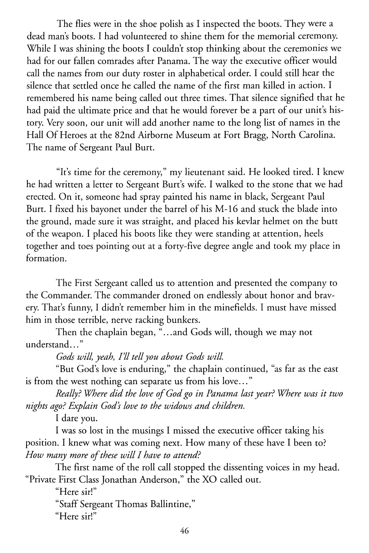The flies were in the shoe polish as I inspected the boots. They were a dead man's boots. I had volunteered to shine them for the memorial ceremony. While I was shining the boots I couldn't stop thinking about the ceremonies we had for our fallen comrades after Panama. The way the executive officer would call the names from our duty roster in alphabetical order. I could still hear the silence that settled once he called the name of the first man killed in action. I remembered his name being called out three times. That silence signified that he had paid the ultimate price and that he would forever be a part of our unit's history. Very soon, our unit will add another name to the long list of names in the Hall Of Heroes at the 82nd Airborne Museum at Fort Bragg, North Carolina. The name of Sergeant Paul Burt.

"It's time for the ceremony," my lieutenant said. He looked tired. I knew he had written a letter to Sergeant Burt's wife. I walked to the stone that we had erected. On it, someone had spray painted his name in black, Sergeant Paul Burt. I fixed his bayonet under the barrel of his M-16 and stuck the blade into the ground, made sure it was straight, and placed his kevlar helmet on the butt of the weapon. I placed his boots like they were standing at attention, heels together and toes pointing out at a forty-five degree angle and took my place in formation.

The First Sergeant called us to attention and presented the company to the Commander. The commander droned on endlessly about honor and bravery. That's funny, I didn't remember him in the minefields. I must have missed him in those terrible, nerve racking bunkers.

Then the chaplain began, "...and Gods will, though we may not understand..."

Gods will, yeah, I'll tell you about Gods will.

"But God's love is enduring," the chaplain continued, "as far as the east is from the west nothing can separate us from his love..."

*Really? Where did the love of God go in Panama last year? Where was it two nights ago? Explain God's love to the widows and children.* 

I dare you.

I was so lost in the musings I missed the executive officer taking his position. I knew what was coming next. How many of these have I been to? *How many more of these will I have to attend?* 

The first name of the roll call stopped the dissenting voices in my head. "Private First Class Jonathan Anderson," the XO called out.

"Here sir!"

"Staff Sergeant Thomas Ballintine," "Here sir!"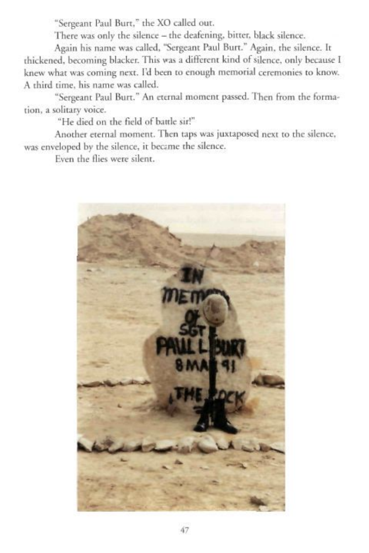"Sergeant Paul Burt," the XO called out.

There was only the silence - the deafening, bitter, black silence.

Again his name was called, "Sergeant Paul Burt." Again, the silence. It thickened, becoming blacker. This was a different kind of silence, only because I knew what was coming next. I'd been to enough memorial ceremonies to know. A third time, his name was called.

"Sergeant Paul Burt." An eternal moment passed. Then from the formation. a solitary voice.

"He died on the field of battle sir!"

Another eternal moment. Then taps was juxtaposed next to the silence, was enveloped by the silence, it became the silence.

Even the flies were silent.

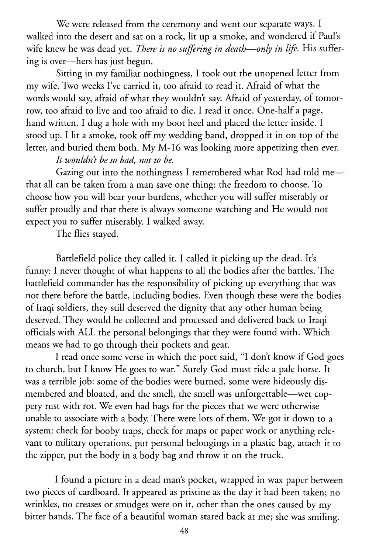We were released from the ceremony and went our separate ways. I walked into the desert and sat on a rock, lit up a smoke, and wondered if Paul's wife knew he was dead yet. *There is no suffering in death*—*only in life.* His suffering is over—hers has just begun.

Sitting in my familiar nothingness, I took out the unopened letter from my wife. Two weeks I've carried it, too afraid to read it. Afraid of what the words would say, afraid of what they wouldn't say. Afraid of yesterday, of tomorrow, too afraid to live and too afraid to die. I read it once. One-half a page, hand written. I dug a hole with my boot heel and placed the letter inside. I stood up. I lit a smoke, took off my wedding band, dropped it in on top of the letter, and buried them both. My M-16 was looking more appetizing then ever.

## *It wouldn't be so bad, not to be.*

Gazing out into the nothingness I remembered what Rod had told me that all can be taken from a man save one thing: the freedom to choose. To choose how you will bear your burdens, whether you will suffer miserably or suffer proudly and that there is always someone watching and He would not expect you to suffer miserably. I walked away.

The flies stayed.

Battlefield police they called it. I called it picking up the dead. It's funny: I never thought of what happens to all the bodies after the battles. The battlefield commander has the responsibility of picking up everything that was not there before the battle, including bodies. Even though these were the bodies of Iraqi soldiers, they still deserved the dignity that any other human being deserved. They would be collected and processed and delivered back to Iraqi officials with ALL the personal belongings that they were found with. Which means we had to go through their pockets and gear.

I read once some verse in which the poet said, "I don't know if God goes to church, but I know He goes to war." Surely God must ride a pale horse. It was a terrible job: some of the bodies were burned, some were hideously dismembered and bloated, and the smell, the smell was unforgettable—wet coppery rust with rot. We even had bags for the pieces that we were otherwise unable to associate with a body. There were lots of them. We got it down to a system: check for booby traps, check for maps or paper work or anything relevant to military operations, put personal belongings in a plastic bag, attach it to the zipper, put the body in a body bag and throw it on the truck.

I found a picture in a dead man's pocket, wrapped in wax paper between two pieces of cardboard. It appeared as pristine as the day it had been taken; no wrinkles, no creases or smudges were on it, other than the ones caused by my bitter hands. The face of a beautiful woman stared back at me; she was smiling.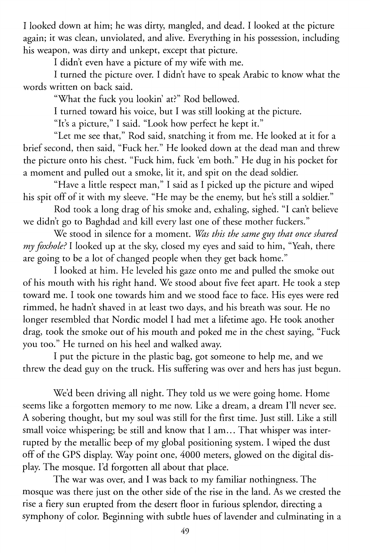I looked down at him; he was dirty, mangled, and dead. I looked at the picture again; it was clean, unviolated, and alive. Everything in his possession, including his weapon, was dirty and unkept, except that picture.

I didn't even have a picture of my wife with me.

I turned the picture over. I didn't have to speak Arabic to know what the words written on back said.

"What the fuck you lookin' at?" Rod bellowed.

I turned toward his voice, but I was still looking at the picture.

"It's a picture," I said. "Look how perfect he kept it."

"Let me see that," Rod said, snatching it from me. He looked at it for a brief second, then said, "Fuck her." He looked down at the dead man and threw the picture onto his chest. "Fuck him, fuck 'em both." He dug in his pocket for a moment and pulled out a smoke, lit it, and spit on the dead soldier.

"Have a little respect man," I said as I picked up the picture and wiped his spit off of it with my sleeve. "He may be the enemy, but he's still a soldier."

Rod took a long drag of his smoke and, exhaling, sighed. "I can't believe we didn't go to Baghdad and kill every last one of these mother fuckers."

We stood in silence for a moment. *Was this the same guy that once shared my foxhole?* I looked up at the sky, closed my eyes and said to him, "Yeah, there are going to be a lot of changed people when they get back home."

I looked at him. He leveled his gaze onto me and pulled the smoke out of his mouth with his right hand. We stood about five feet apart. He took a step toward me. I took one towards him and we stood face to face. His eyes were red rimmed, he hadn't shaved in at least two days, and his breath was sour. He no longer resembled that Nordic model I had met a lifetime ago. He took another drag, took the smoke out of his mouth and poked me in the chest saying, "Fuck you too." He turned on his heel and walked away.

I put the picture in the plastic bag, got someone to help me, and we threw the dead guy on the truck. His suffering was over and hers has just begun.

We'd been driving all night. They told us we were going home. Home seems like a forgotten memory to me now. Like a dream, a dream I'll never see. A sobering thought, but my soul was still for the first time. Just still. Like a still small voice whispering; be still and know that I am... That whisper was interrupted by the metallic beep of my global positioning system. I wiped the dust off of the GPS display. Way point one, 4000 meters, glowed on the digital display. The mosque. I'd forgotten all about that place.

The war was over, and I was back to my familiar nothingness. The mosque was there just on the other side of the rise in the land. As we crested the rise a fiery sun erupted from the desert floor in furious splendor, directing a symphony of color. Beginning with subtle hues of lavender and culminating in a